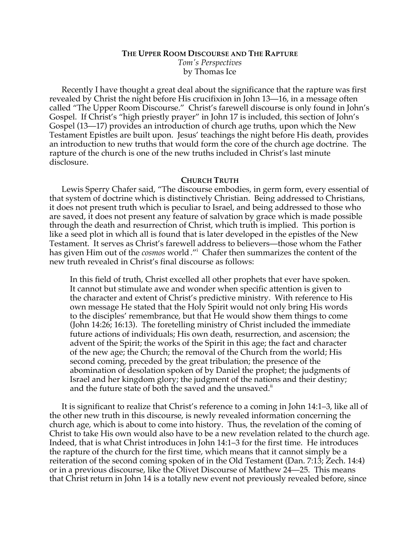# **THE UPPER ROOM DISCOURSE AND THE RAPTURE** *Tom's Perspectives* by Thomas Ice

Recently I have thought a great deal about the significance that the rapture was first revealed by Christ the night before His crucifixion in John 13—16, in a message often called "The Upper Room Discourse." Christ's farewell discourse is only found in John's Gospel. If Christ's "high priestly prayer" in John 17 is included, this section of John's Gospel (13—17) provides an introduction of church age truths, upon which the New Testament Epistles are built upon. Jesus' teachings the night before His death, provides an introduction to new truths that would form the core of the church age doctrine. The rapture of the church is one of the new truths included in Christ's last minute disclosure.

## **CHURCH TRUTH**

Lewis Sperry Chafer said, "The discourse embodies, in germ form, every essential of that system of doctrine which is distinctively Christian. Being addressed to Christians, it does not present truth which is peculiar to Israel, and being addressed to those who are saved, it does not present any feature of salvation by grace which is made possible through the death and resurrection of Christ, which truth is implied. This portion is like a seed plot in which all is found that is later developed in the epistles of the New Testament. It serves as Christ's farewell address to believers—those whom the Father has given Him out of the *cosmos* world."<sup>i</sup> Chafer then summarizes the content of the new truth revealed in Christ's final discourse as follows:

In this field of truth, Christ excelled all other prophets that ever have spoken. It cannot but stimulate awe and wonder when specific attention is given to the character and extent of Christ's predictive ministry. With reference to His own message He stated that the Holy Spirit would not only bring His words to the disciples' remembrance, but that He would show them things to come (John 14:26; 16:13). The foretelling ministry of Christ included the immediate future actions of individuals; His own death, resurrection, and ascension; the advent of the Spirit; the works of the Spirit in this age; the fact and character of the new age; the Church; the removal of the Church from the world; His second coming, preceded by the great tribulation; the presence of the abomination of desolation spoken of by Daniel the prophet; the judgments of Israel and her kingdom glory; the judgment of the nations and their destiny; and the future state of both the saved and the unsaved.<sup>ii</sup>

It is significant to realize that Christ's reference to a coming in John 14:1–3, like all of the other new truth in this discourse, is newly revealed information concerning the church age, which is about to come into history. Thus, the revelation of the coming of Christ to take His own would also have to be a new revelation related to the church age. Indeed, that is what Christ introduces in John 14:1–3 for the first time. He introduces the rapture of the church for the first time, which means that it cannot simply be a reiteration of the second coming spoken of in the Old Testament (Dan. 7:13; Zech. 14:4) or in a previous discourse, like the Olivet Discourse of Matthew 24—25. This means that Christ return in John 14 is a totally new event not previously revealed before, since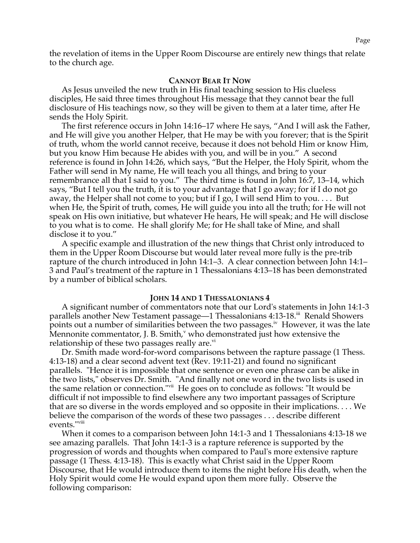the revelation of items in the Upper Room Discourse are entirely new things that relate to the church age.

### **CANNOT BEAR IT NOW**

As Jesus unveiled the new truth in His final teaching session to His clueless disciples, He said three times throughout His message that they cannot bear the full disclosure of His teachings now, so they will be given to them at a later time, after He sends the Holy Spirit.

The first reference occurs in John 14:16–17 where He says, "And I will ask the Father, and He will give you another Helper, that He may be with you forever; that is the Spirit of truth, whom the world cannot receive, because it does not behold Him or know Him, but you know Him because He abides with you, and will be in you." A second reference is found in John 14:26, which says, "But the Helper, the Holy Spirit, whom the Father will send in My name, He will teach you all things, and bring to your remembrance all that I said to you." The third time is found in John 16:7, 13–14, which says, "But I tell you the truth, it is to your advantage that I go away; for if I do not go away, the Helper shall not come to you; but if I go, I will send Him to you. . . . But when He, the Spirit of truth, comes, He will guide you into all the truth; for He will not speak on His own initiative, but whatever He hears, He will speak; and He will disclose to you what is to come. He shall glorify Me; for He shall take of Mine, and shall disclose it to you."

A specific example and illustration of the new things that Christ only introduced to them in the Upper Room Discourse but would later reveal more fully is the pre-trib rapture of the church introduced in John 14:1–3. A clear connection between John 14:1– 3 and Paul's treatment of the rapture in 1 Thessalonians 4:13–18 has been demonstrated by a number of biblical scholars.

#### **JOHN 14 AND 1 THESSALONIANS 4**

A significant number of commentators note that our Lord's statements in John 14:1-3 parallels another New Testament passage—1 Thessalonians 4:13-18.<sup>iii</sup> Renald Showers points out a number of similarities between the two passages.<sup>iv</sup> However, it was the late Mennonite commentator, J. B. Smith, $\gamma$  who demonstrated just how extensive the relationship of these two passages really are. $\dot{v}$ 

Dr. Smith made word-for-word comparisons between the rapture passage (1 Thess. 4:13-18) and a clear second advent text (Rev. 19:11-21) and found no significant parallels. "Hence it is impossible that one sentence or even one phrase can be alike in the two lists," observes Dr. Smith. "And finally not one word in the two lists is used in the same relation or connection."vii He goes on to conclude as follows: "It would be difficult if not impossible to find elsewhere any two important passages of Scripture that are so diverse in the words employed and so opposite in their implications. . . . We believe the comparison of the words of these two passages . . . describe different events."viii

When it comes to a comparison between John 14:1-3 and 1 Thessalonians 4:13-18 we see amazing parallels. That John 14:1-3 is a rapture reference is supported by the progression of words and thoughts when compared to Paul's more extensive rapture passage (1 Thess. 4:13-18). This is exactly what Christ said in the Upper Room Discourse, that He would introduce them to items the night before His death, when the Holy Spirit would come He would expand upon them more fully. Observe the following comparison: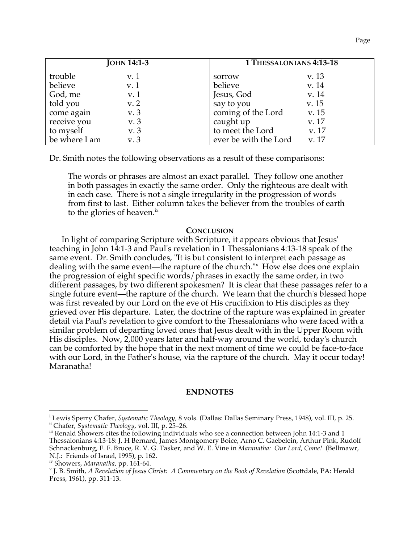| JOHN 14:1-3   |      |                       | 1 THESSALONIANS 4:13-18 |  |
|---------------|------|-----------------------|-------------------------|--|
| trouble       | v. 1 | sorrow                | v. 13                   |  |
| believe       | v. 1 | believe               | v. 14                   |  |
| God, me       | v.1  | Jesus, God            | v. 14                   |  |
| told you      | v.2  | say to you            | v. 15                   |  |
| come again    | v. 3 | coming of the Lord    | v. 15                   |  |
| receive you   | v. 3 | caught up             | v. 17                   |  |
| to myself     | v. 3 | to meet the Lord      | v. 17                   |  |
| be where I am | v. 3 | ever be with the Lord | v. 17                   |  |

Dr. Smith notes the following observations as a result of these comparisons:

The words or phrases are almost an exact parallel. They follow one another in both passages in exactly the same order. Only the righteous are dealt with in each case. There is not a single irregularity in the progression of words from first to last. Either column takes the believer from the troubles of earth to the glories of heaven.<sup>ix</sup>

## **CONCLUSION**

In light of comparing Scripture with Scripture, it appears obvious that Jesus' teaching in John 14:1-3 and Paul's revelation in 1 Thessalonians 4:13-18 speak of the same event. Dr. Smith concludes, "It is but consistent to interpret each passage as dealing with the same event—the rapture of the church."<sup>x</sup> How else does one explain the progression of eight specific words/phrases in exactly the same order, in two different passages, by two different spokesmen? It is clear that these passages refer to a single future event—the rapture of the church. We learn that the church's blessed hope was first revealed by our Lord on the eve of His crucifixion to His disciples as they grieved over His departure. Later, the doctrine of the rapture was explained in greater detail via Paul's revelation to give comfort to the Thessalonians who were faced with a similar problem of departing loved ones that Jesus dealt with in the Upper Room with His disciples. Now, 2,000 years later and half-way around the world, today's church can be comforted by the hope that in the next moment of time we could be face-to-face with our Lord, in the Father's house, via the rapture of the church. May it occur today! Maranatha!

## **ENDNOTES**

<sup>&</sup>lt;sup>i</sup> Lewis Sperry Chafer, *Systematic Theology*, 8 vols. (Dallas: Dallas Seminary Press, 1948), vol. III, p. 25.<br><sup>ii</sup> Chafer, *Systematic Theology*, vol. III, p. 25–26.<br><sup>ii</sup> Renald Showers cites the following individuals wh

Thessalonians 4:13-18: J. H Bernard, James Montgomery Boice, Arno C. Gaebelein, Arthur Pink, Rudolf Schnackenburg, F. F. Bruce, R. V. G. Tasker, and W. E. Vine in *Maranatha: Our Lord, Come!* (Bellmawr, N.J.: Friends of Israel, 1995), p. 162.<br>iv Showers, Maranatha, pp. 161-64.

<sup>&</sup>lt;sup>v</sup> J. B. Smith, *A Revelation of Jesus Christ: A Commentary on the Book of Revelation (Scottdale, PA: Herald* Press, 1961), pp. 311-13.